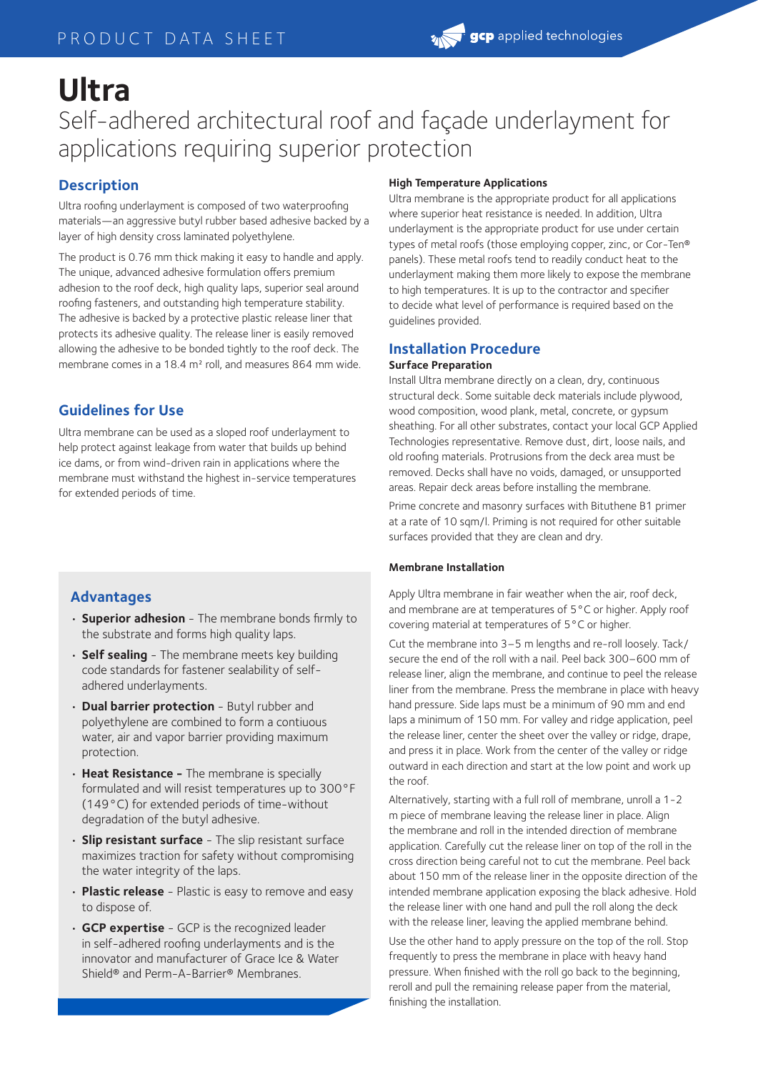# **Ultra** Self-adhered architectural roof and façade underlayment for applications requiring superior protection

# **Description**

Ultra roofing underlayment is composed of two waterproofing materials—an aggressive butyl rubber based adhesive backed by a layer of high density cross laminated polyethylene.

The product is 0.76 mm thick making it easy to handle and apply. The unique, advanced adhesive formulation offers premium adhesion to the roof deck, high quality laps, superior seal around roofing fasteners, and outstanding high temperature stability. The adhesive is backed by a protective plastic release liner that protects its adhesive quality. The release liner is easily removed allowing the adhesive to be bonded tightly to the roof deck. The membrane comes in a 18.4 m<sup>2</sup> roll, and measures 864 mm wide.

# **Guidelines for Use**

Ultra membrane can be used as a sloped roof underlayment to help protect against leakage from water that builds up behind ice dams, or from wind-driven rain in applications where the membrane must withstand the highest in-service temperatures for extended periods of time.

# **Advantages**

- **Superior adhesion** The membrane bonds firmly to the substrate and forms high quality laps.
- **Self sealing** The membrane meets key building code standards for fastener sealability of selfadhered underlayments.
- **Dual barrier protection** Butyl rubber and polyethylene are combined to form a contiuous water, air and vapor barrier providing maximum protection.
- **Heat Resistance** The membrane is specially formulated and will resist temperatures up to 300°F (149°C) for extended periods of time-without degradation of the butyl adhesive.
- **Slip resistant surface** The slip resistant surface maximizes traction for safety without compromising the water integrity of the laps.
- **Plastic release** Plastic is easy to remove and easy to dispose of.
- **GCP expertise** GCP is the recognized leader in self-adhered roofing underlayments and is the innovator and manufacturer of Grace Ice & Water Shield® and Perm-A-Barrier® Membranes.

#### **High Temperature Applications**

Ultra membrane is the appropriate product for all applications where superior heat resistance is needed. In addition, Ultra underlayment is the appropriate product for use under certain types of metal roofs (those employing copper, zinc, or Cor-Ten® panels). These metal roofs tend to readily conduct heat to the underlayment making them more likely to expose the membrane to high temperatures. It is up to the contractor and specifier to decide what level of performance is required based on the guidelines provided.

#### **Installation Procedure Surface Preparation**

Install Ultra membrane directly on a clean, dry, continuous structural deck. Some suitable deck materials include plywood, wood composition, wood plank, metal, concrete, or gypsum sheathing. For all other substrates, contact your local GCP Applied Technologies representative. Remove dust, dirt, loose nails, and old roofing materials. Protrusions from the deck area must be removed. Decks shall have no voids, damaged, or unsupported areas. Repair deck areas before installing the membrane.

Prime concrete and masonry surfaces with Bituthene B1 primer at a rate of 10 sqm/l. Priming is not required for other suitable surfaces provided that they are clean and dry.

#### **Membrane Installation**

Apply Ultra membrane in fair weather when the air, roof deck, and membrane are at temperatures of 5°C or higher. Apply roof covering material at temperatures of 5°C or higher.

Cut the membrane into 3–5 m lengths and re-roll loosely. Tack/ secure the end of the roll with a nail. Peel back 300–600 mm of release liner, align the membrane, and continue to peel the release liner from the membrane. Press the membrane in place with heavy hand pressure. Side laps must be a minimum of 90 mm and end laps a minimum of 150 mm. For valley and ridge application, peel the release liner, center the sheet over the valley or ridge, drape, and press it in place. Work from the center of the valley or ridge outward in each direction and start at the low point and work up the roof.

Alternatively, starting with a full roll of membrane, unroll a 1-2 m piece of membrane leaving the release liner in place. Align the membrane and roll in the intended direction of membrane application. Carefully cut the release liner on top of the roll in the cross direction being careful not to cut the membrane. Peel back about 150 mm of the release liner in the opposite direction of the intended membrane application exposing the black adhesive. Hold the release liner with one hand and pull the roll along the deck with the release liner, leaving the applied membrane behind.

Use the other hand to apply pressure on the top of the roll. Stop frequently to press the membrane in place with heavy hand pressure. When finished with the roll go back to the beginning, reroll and pull the remaining release paper from the material, finishing the installation.